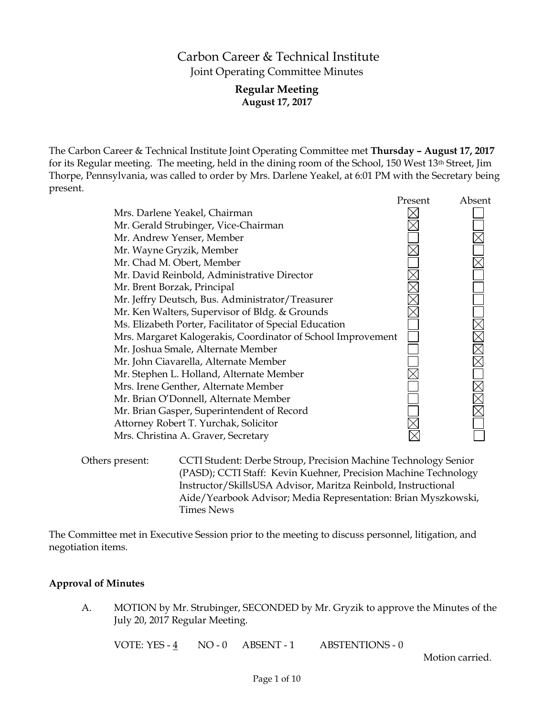# Carbon Career & Technical Institute Joint Operating Committee Minutes

# **Regular Meeting August 17, 2017**

The Carbon Career & Technical Institute Joint Operating Committee met **Thursday – August 17, 2017** for its Regular meeting. The meeting, held in the dining room of the School, 150 West 13th Street, Jim Thorpe, Pennsylvania, was called to order by Mrs. Darlene Yeakel, at 6:01 PM with the Secretary being present.

|                                                              | Present | Absent |
|--------------------------------------------------------------|---------|--------|
| Mrs. Darlene Yeakel, Chairman                                |         |        |
| Mr. Gerald Strubinger, Vice-Chairman                         |         |        |
| Mr. Andrew Yenser, Member                                    |         |        |
| Mr. Wayne Gryzik, Member                                     |         |        |
| Mr. Chad M. Obert, Member                                    |         |        |
| Mr. David Reinbold, Administrative Director                  |         |        |
| Mr. Brent Borzak, Principal                                  |         |        |
| Mr. Jeffry Deutsch, Bus. Administrator/Treasurer             |         |        |
| Mr. Ken Walters, Supervisor of Bldg. & Grounds               |         |        |
| Ms. Elizabeth Porter, Facilitator of Special Education       |         |        |
| Mrs. Margaret Kalogerakis, Coordinator of School Improvement |         |        |
| Mr. Joshua Smale, Alternate Member                           |         |        |
| Mr. John Ciavarella, Alternate Member                        |         |        |
| Mr. Stephen L. Holland, Alternate Member                     |         |        |
| Mrs. Irene Genther, Alternate Member                         |         |        |
| Mr. Brian O'Donnell, Alternate Member                        |         |        |
| Mr. Brian Gasper, Superintendent of Record                   |         |        |
| Attorney Robert T. Yurchak, Solicitor                        |         |        |
| Mrs. Christina A. Graver, Secretary                          |         |        |
|                                                              |         |        |

Others present: CCTI Student: Derbe Stroup, Precision Machine Technology Senior (PASD); CCTI Staff: Kevin Kuehner, Precision Machine Technology Instructor/SkillsUSA Advisor, Maritza Reinbold, Instructional Aide/Yearbook Advisor; Media Representation: Brian Myszkowski, Times News

The Committee met in Executive Session prior to the meeting to discuss personnel, litigation, and negotiation items.

### **Approval of Minutes**

A. MOTION by Mr. Strubinger, SECONDED by Mr. Gryzik to approve the Minutes of the July 20, 2017 Regular Meeting.

VOTE: YES - 4 NO - 0 ABSENT - 1 ABSTENTIONS - 0

Motion carried.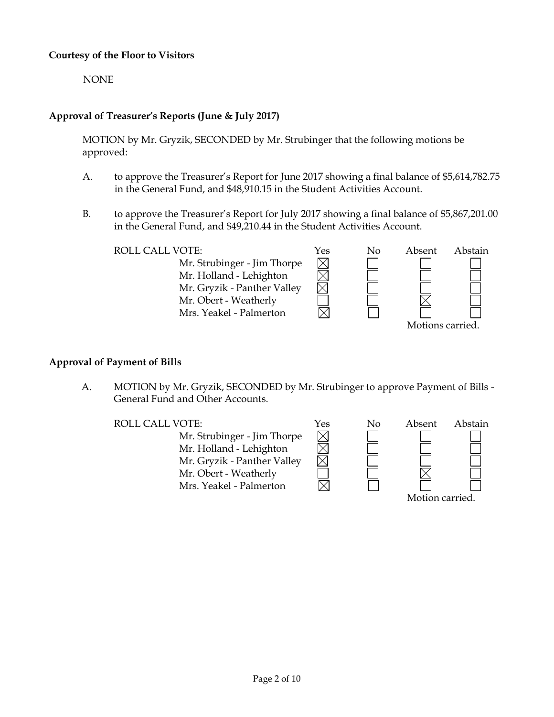## **Courtesy of the Floor to Visitors**

NONE

# **Approval of Treasurer's Reports (June & July 2017)**

MOTION by Mr. Gryzik, SECONDED by Mr. Strubinger that the following motions be approved:

- A. to approve the Treasurer's Report for June 2017 showing a final balance of \$5,614,782.75 in the General Fund, and \$48,910.15 in the Student Activities Account.
- B. to approve the Treasurer's Report for July 2017 showing a final balance of \$5,867,201.00 in the General Fund, and \$49,210.44 in the Student Activities Account.

ROLL CALL VOTE:  $Y$ es No Absent Abstain  $\times$ Mr. Strubinger - Jim Thorpe Mr. Holland - Lehighton Mr. Gryzik - Panther Valley Mr. Obert - Weatherly Mrs. Yeakel - Palmerton Motions carried.

# **Approval of Payment of Bills**

A. MOTION by Mr. Gryzik, SECONDED by Mr. Strubinger to approve Payment of Bills - General Fund and Other Accounts.

ROLL CALL VOTE:  $Y$ es No Absent Abstain Mr. Strubinger - Jim Thorpe Mr. Holland - Lehighton Mr. Gryzik - Panther Valley Mr. Obert - Weatherly Mrs. Yeakel - Palmerton Motion carried.

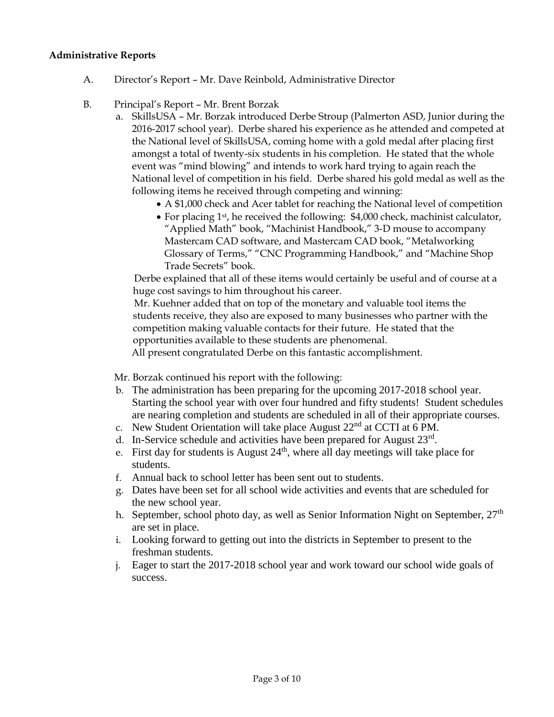### **Administrative Reports**

- A. Director's Report Mr. Dave Reinbold, Administrative Director
- B. Principal's Report Mr. Brent Borzak
	- a. SkillsUSA Mr. Borzak introduced Derbe Stroup (Palmerton ASD, Junior during the 2016-2017 school year). Derbe shared his experience as he attended and competed at the National level of SkillsUSA, coming home with a gold medal after placing first amongst a total of twenty-six students in his completion. He stated that the whole event was "mind blowing" and intends to work hard trying to again reach the National level of competition in his field. Derbe shared his gold medal as well as the following items he received through competing and winning:
		- A \$1,000 check and Acer tablet for reaching the National level of competition
		- For placing 1<sup>st</sup>, he received the following: \$4,000 check, machinist calculator, "Applied Math" book, "Machinist Handbook," 3-D mouse to accompany Mastercam CAD software, and Mastercam CAD book, "Metalworking Glossary of Terms," "CNC Programming Handbook," and "Machine Shop Trade Secrets" book.

 Derbe explained that all of these items would certainly be useful and of course at a huge cost savings to him throughout his career.

 Mr. Kuehner added that on top of the monetary and valuable tool items the students receive, they also are exposed to many businesses who partner with the competition making valuable contacts for their future. He stated that the opportunities available to these students are phenomenal.

All present congratulated Derbe on this fantastic accomplishment.

Mr. Borzak continued his report with the following:

- b. The administration has been preparing for the upcoming 2017-2018 school year. Starting the school year with over four hundred and fifty students! Student schedules are nearing completion and students are scheduled in all of their appropriate courses.
- c. New Student Orientation will take place August  $22<sup>nd</sup>$  at CCTI at 6 PM.
- d. In-Service schedule and activities have been prepared for August 23rd.
- e. First day for students is August  $24<sup>th</sup>$ , where all day meetings will take place for students.
- f. Annual back to school letter has been sent out to students.
- g. Dates have been set for all school wide activities and events that are scheduled for the new school year.
- h. September, school photo day, as well as Senior Information Night on September,  $27<sup>th</sup>$ are set in place.
- i. Looking forward to getting out into the districts in September to present to the freshman students.
- j. Eager to start the 2017-2018 school year and work toward our school wide goals of success.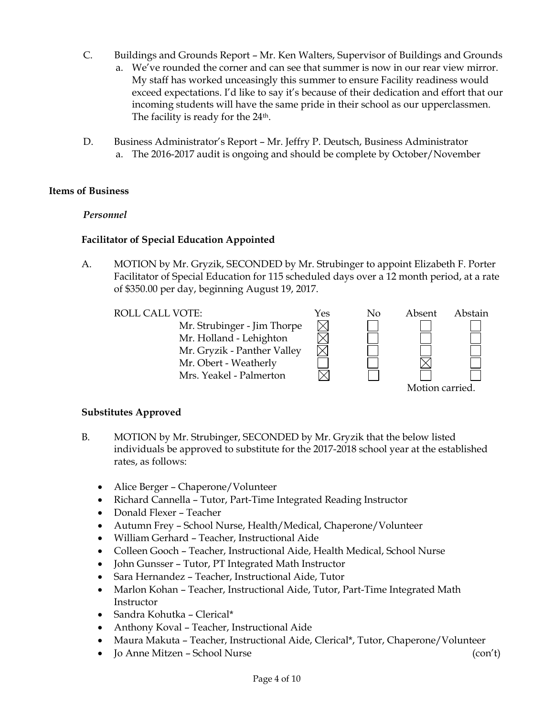- C. Buildings and Grounds Report Mr. Ken Walters, Supervisor of Buildings and Grounds
	- a. We've rounded the corner and can see that summer is now in our rear view mirror. My staff has worked unceasingly this summer to ensure Facility readiness would exceed expectations. I'd like to say it's because of their dedication and effort that our incoming students will have the same pride in their school as our upperclassmen. The facility is ready for the 24<sup>th</sup>.
- D. Business Administrator's Report Mr. Jeffry P. Deutsch, Business Administrator a. The 2016-2017 audit is ongoing and should be complete by October/November

### **Items of Business**

### *Personnel*

### **Facilitator of Special Education Appointed**

A. MOTION by Mr. Gryzik, SECONDED by Mr. Strubinger to appoint Elizabeth F. Porter Facilitator of Special Education for 115 scheduled days over a 12 month period, at a rate of \$350.00 per day, beginning August 19, 2017.

| <b>ROLL CALL VOTE:</b>      | Yes | No | Absent          | Abstain |  |
|-----------------------------|-----|----|-----------------|---------|--|
| Mr. Strubinger - Jim Thorpe |     |    |                 |         |  |
| Mr. Holland - Lehighton     |     |    |                 |         |  |
| Mr. Gryzik - Panther Valley |     |    |                 |         |  |
| Mr. Obert - Weatherly       |     |    |                 |         |  |
| Mrs. Yeakel - Palmerton     |     |    |                 |         |  |
|                             |     |    | Motion carried. |         |  |

#### **Substitutes Approved**

- B. MOTION by Mr. Strubinger, SECONDED by Mr. Gryzik that the below listed individuals be approved to substitute for the 2017-2018 school year at the established rates, as follows:
	- Alice Berger Chaperone/Volunteer
	- Richard Cannella Tutor, Part-Time Integrated Reading Instructor
	- Donald Flexer Teacher
	- Autumn Frey School Nurse, Health/Medical, Chaperone/Volunteer
	- William Gerhard Teacher, Instructional Aide
	- Colleen Gooch Teacher, Instructional Aide, Health Medical, School Nurse
	- John Gunsser Tutor, PT Integrated Math Instructor
	- Sara Hernandez Teacher, Instructional Aide, Tutor
	- Marlon Kohan Teacher, Instructional Aide, Tutor, Part-Time Integrated Math Instructor
	- Sandra Kohutka Clerical\*
	- Anthony Koval Teacher, Instructional Aide
	- Maura Makuta Teacher, Instructional Aide, Clerical\*, Tutor, Chaperone/Volunteer
	- Jo Anne Mitzen School Nurse (con't)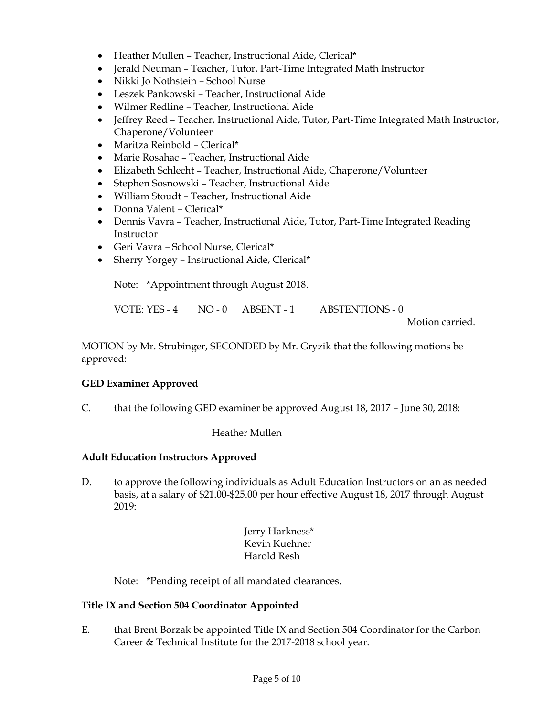- Heather Mullen Teacher, Instructional Aide, Clerical\*
- Jerald Neuman Teacher, Tutor, Part-Time Integrated Math Instructor
- Nikki Jo Nothstein School Nurse
- Leszek Pankowski Teacher, Instructional Aide
- Wilmer Redline Teacher, Instructional Aide
- Jeffrey Reed Teacher, Instructional Aide, Tutor, Part-Time Integrated Math Instructor, Chaperone/Volunteer
- Maritza Reinbold Clerical\*
- Marie Rosahac Teacher, Instructional Aide
- Elizabeth Schlecht Teacher, Instructional Aide, Chaperone/Volunteer
- Stephen Sosnowski Teacher, Instructional Aide
- William Stoudt Teacher, Instructional Aide
- Donna Valent Clerical\*
- Dennis Vavra Teacher, Instructional Aide, Tutor, Part-Time Integrated Reading Instructor
- Geri Vavra School Nurse, Clerical\*
- Sherry Yorgey Instructional Aide, Clerical\*

Note: \*Appointment through August 2018.

VOTE: YES - 4 NO - 0 ABSENT - 1 ABSTENTIONS - 0

Motion carried.

MOTION by Mr. Strubinger, SECONDED by Mr. Gryzik that the following motions be approved:

### **GED Examiner Approved**

C. that the following GED examiner be approved August 18, 2017 – June 30, 2018:

Heather Mullen

### **Adult Education Instructors Approved**

D. to approve the following individuals as Adult Education Instructors on an as needed basis, at a salary of \$21.00-\$25.00 per hour effective August 18, 2017 through August 2019:

> Jerry Harkness\* Kevin Kuehner Harold Resh

Note: \*Pending receipt of all mandated clearances.

### **Title IX and Section 504 Coordinator Appointed**

E. that Brent Borzak be appointed Title IX and Section 504 Coordinator for the Carbon Career & Technical Institute for the 2017-2018 school year.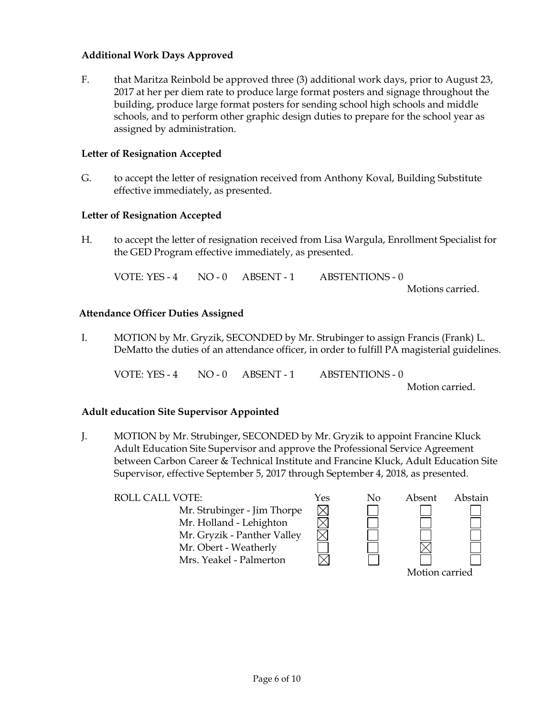# **Additional Work Days Approved**

F. that Maritza Reinbold be approved three (3) additional work days, prior to August 23, 2017 at her per diem rate to produce large format posters and signage throughout the building, produce large format posters for sending school high schools and middle schools, and to perform other graphic design duties to prepare for the school year as assigned by administration.

### **Letter of Resignation Accepted**

G. to accept the letter of resignation received from Anthony Koval, Building Substitute effective immediately, as presented.

### **Letter of Resignation Accepted**

H. to accept the letter of resignation received from Lisa Wargula, Enrollment Specialist for the GED Program effective immediately, as presented.

VOTE: YES - 4 NO - 0 ABSENT - 1 ABSTENTIONS - 0 Motions carried.

### **Attendance Officer Duties Assigned**

I. MOTION by Mr. Gryzik, SECONDED by Mr. Strubinger to assign Francis (Frank) L. DeMatto the duties of an attendance officer, in order to fulfill PA magisterial guidelines.

VOTE: YES - 4 NO - 0 ABSENT - 1 ABSTENTIONS - 0

Motion carried.

#### **Adult education Site Supervisor Appointed**

J. MOTION by Mr. Strubinger, SECONDED by Mr. Gryzik to appoint Francine Kluck Adult Education Site Supervisor and approve the Professional Service Agreement between Carbon Career & Technical Institute and Francine Kluck, Adult Education Site Supervisor, effective September 5, 2017 through September 4, 2018, as presented.

| <b>ROLL CALL VOTE:</b>                                 | Yes | No | Absent         | Abstain |
|--------------------------------------------------------|-----|----|----------------|---------|
| Mr. Strubinger - Jim Thorpe<br>Mr. Holland - Lehighton |     |    |                |         |
| Mr. Gryzik - Panther Valley                            |     |    |                |         |
| Mr. Obert - Weatherly                                  |     |    |                |         |
| Mrs. Yeakel - Palmerton                                |     |    |                |         |
|                                                        |     |    | Motion carried |         |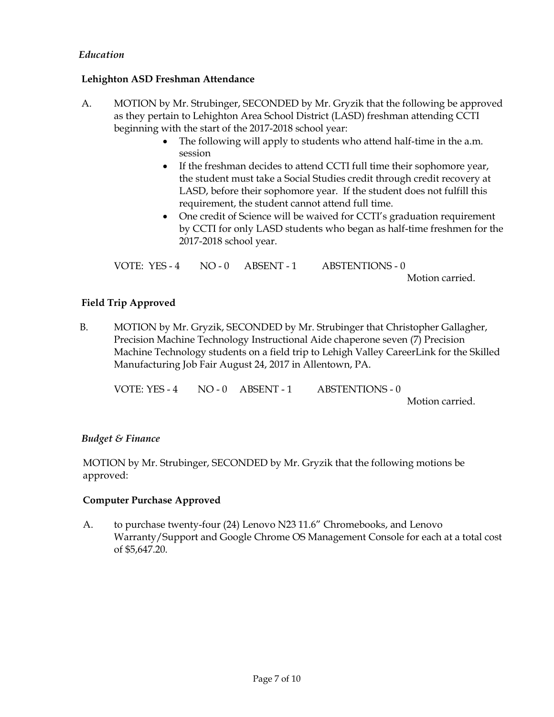# *Education*

### **Lehighton ASD Freshman Attendance**

- A. MOTION by Mr. Strubinger, SECONDED by Mr. Gryzik that the following be approved as they pertain to Lehighton Area School District (LASD) freshman attending CCTI beginning with the start of the 2017-2018 school year:
	- The following will apply to students who attend half-time in the a.m. session
	- If the freshman decides to attend CCTI full time their sophomore year, the student must take a Social Studies credit through credit recovery at LASD, before their sophomore year. If the student does not fulfill this requirement, the student cannot attend full time.
	- One credit of Science will be waived for CCTI's graduation requirement by CCTI for only LASD students who began as half-time freshmen for the 2017-2018 school year.

VOTE: YES - 4 NO - 0 ABSENT - 1 ABSTENTIONS - 0 Motion carried.

### **Field Trip Approved**

B. MOTION by Mr. Gryzik, SECONDED by Mr. Strubinger that Christopher Gallagher, Precision Machine Technology Instructional Aide chaperone seven (7) Precision Machine Technology students on a field trip to Lehigh Valley CareerLink for the Skilled Manufacturing Job Fair August 24, 2017 in Allentown, PA.

VOTE: YES - 4 NO - 0 ABSENT - 1 ABSTENTIONS - 0

#### Motion carried.

### *Budget & Finance*

MOTION by Mr. Strubinger, SECONDED by Mr. Gryzik that the following motions be approved:

### **Computer Purchase Approved**

A. to purchase twenty-four (24) Lenovo N23 11.6" Chromebooks, and Lenovo Warranty/Support and Google Chrome OS Management Console for each at a total cost of \$5,647.20.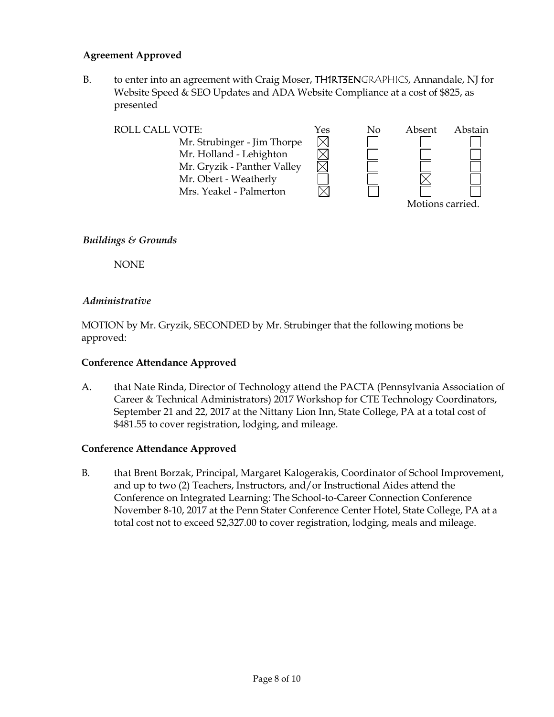# **Agreement Approved**

B. to enter into an agreement with Craig Moser, TH1RT3ENGRAPHICS, Annandale, NJ for Website Speed & SEO Updates and ADA Website Compliance at a cost of \$825, as presented

| <b>ROLL CALL VOTE:</b>      | Yes | No | Absent           | Abstain |
|-----------------------------|-----|----|------------------|---------|
| Mr. Strubinger - Jim Thorpe |     |    |                  |         |
| Mr. Holland - Lehighton     |     |    |                  |         |
| Mr. Gryzik - Panther Valley |     |    |                  |         |
| Mr. Obert - Weatherly       |     |    |                  |         |
| Mrs. Yeakel - Palmerton     |     |    |                  |         |
|                             |     |    | Motions carried. |         |

### *Buildings & Grounds*

NONE

### *Administrative*

MOTION by Mr. Gryzik, SECONDED by Mr. Strubinger that the following motions be approved:

### **Conference Attendance Approved**

A. that Nate Rinda, Director of Technology attend the PACTA (Pennsylvania Association of Career & Technical Administrators) 2017 Workshop for CTE Technology Coordinators, September 21 and 22, 2017 at the Nittany Lion Inn, State College, PA at a total cost of \$481.55 to cover registration, lodging, and mileage.

### **Conference Attendance Approved**

B. that Brent Borzak, Principal, Margaret Kalogerakis, Coordinator of School Improvement, and up to two (2) Teachers, Instructors, and/or Instructional Aides attend the Conference on Integrated Learning: The School-to-Career Connection Conference November 8-10, 2017 at the Penn Stater Conference Center Hotel, State College, PA at a total cost not to exceed \$2,327.00 to cover registration, lodging, meals and mileage.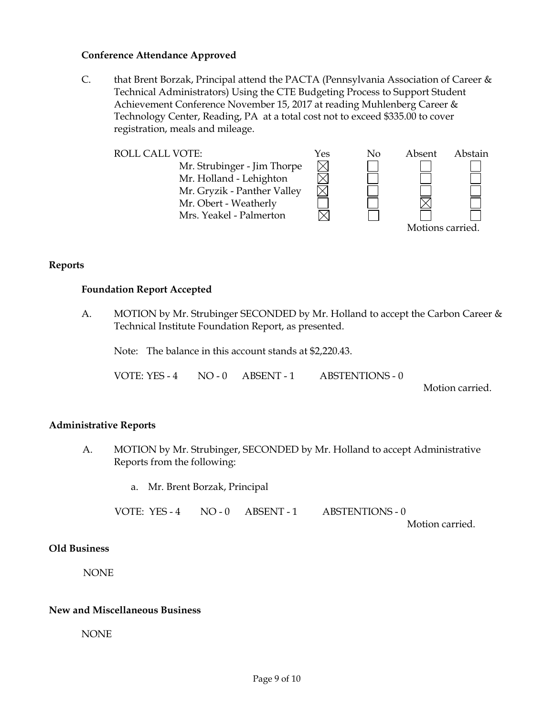#### **Conference Attendance Approved**

C. that Brent Borzak, Principal attend the PACTA (Pennsylvania Association of Career & Technical Administrators) Using the CTE Budgeting Process to Support Student Achievement Conference November 15, 2017 at reading Muhlenberg Career & Technology Center, Reading, PA at a total cost not to exceed \$335.00 to cover registration, meals and mileage.



**Reports**

### **Foundation Report Accepted**

A. MOTION by Mr. Strubinger SECONDED by Mr. Holland to accept the Carbon Career & Technical Institute Foundation Report, as presented.

Note: The balance in this account stands at \$2,220.43.

VOTE: YES - 4 NO - 0 ABSENT - 1 ABSTENTIONS - 0

Motion carried.

### **Administrative Reports**

A. MOTION by Mr. Strubinger, SECONDED by Mr. Holland to accept Administrative Reports from the following:

a. Mr. Brent Borzak, Principal

VOTE: YES - 4 NO - 0 ABSENT - 1 ABSTENTIONS - 0

Motion carried.

#### **Old Business**

NONE

#### **New and Miscellaneous Business**

NONE